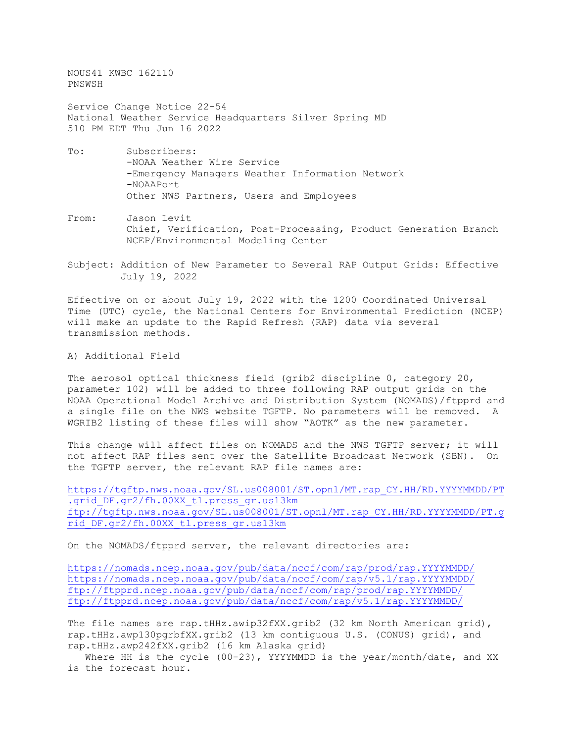NOUS41 KWBC 162110 PNSWSH

Service Change Notice 22-54 National Weather Service Headquarters Silver Spring MD 510 PM EDT Thu Jun 16 2022

- To: Subscribers: -NOAA Weather Wire Service -Emergency Managers Weather Information Network -NOAAPort Other NWS Partners, Users and Employees
- From: Jason Levit Chief, Verification, Post-Processing, Product Generation Branch NCEP/Environmental Modeling Center
- Subject: Addition of New Parameter to Several RAP Output Grids: Effective July 19, 2022

Effective on or about July 19, 2022 with the 1200 Coordinated Universal Time (UTC) cycle, the National Centers for Environmental Prediction (NCEP) will make an update to the Rapid Refresh (RAP) data via several transmission methods.

A) Additional Field

The aerosol optical thickness field (grib2 discipline 0, category 20, parameter 102) will be added to three following RAP output grids on the NOAA Operational Model Archive and Distribution System (NOMADS)/ftpprd and a single file on the NWS website TGFTP. No parameters will be removed. A WGRIB2 listing of these files will show "AOTK" as the new parameter.

This change will affect files on NOMADS and the NWS TGFTP server; it will not affect RAP files sent over the Satellite Broadcast Network (SBN). On the TGFTP server, the relevant RAP file names are:

[https://tgftp.nws.noaa.gov/SL.us008001/ST.opnl/MT.rap\\_CY.HH/RD.YYYYMMDD/PT](https://tgftp.nws.noaa.gov/SL.us008001/ST.opnl/MT.rap_CY.HH/RD.YYYYMMDD/PT.grid_DF.gr2/fh.00XX_tl.press_gr.us13km) .grid DF.gr2/fh.00XX tl.press gr.us13km ftp://tgftp.nws.noaa.gov/SL.us008001/ST.opnl/MT.rap\_CY.HH/RD.YYYYMMDD/PT.g rid\_DF.gr2/fh.00XX\_tl.press\_gr.us13km

On the NOMADS/ftpprd server, the relevant directories are:

<https://nomads.ncep.noaa.gov/pub/data/nccf/com/rap/prod/rap.YYYYMMDD/> <https://nomads.ncep.noaa.gov/pub/data/nccf/com/rap/v5.1/rap.YYYYMMDD/> ftp://ftpprd.ncep.noaa.gov/pub/data/nccf/com/rap/prod/rap.YYYYMMDD/ <ftp://ftpprd.ncep.noaa.gov/pub/data/nccf/com/rap/v5.1/rap.YYYYMMDD/>

The file names are rap.tHHz.awip32fXX.grib2 (32 km North American grid), rap.tHHz.awp130pgrbfXX.grib2 (13 km contiguous U.S. (CONUS) grid), and rap.tHHz.awp242fXX.grib2 (16 km Alaska grid)

Where HH is the cycle (00-23), YYYYMMDD is the year/month/date, and XX is the forecast hour.